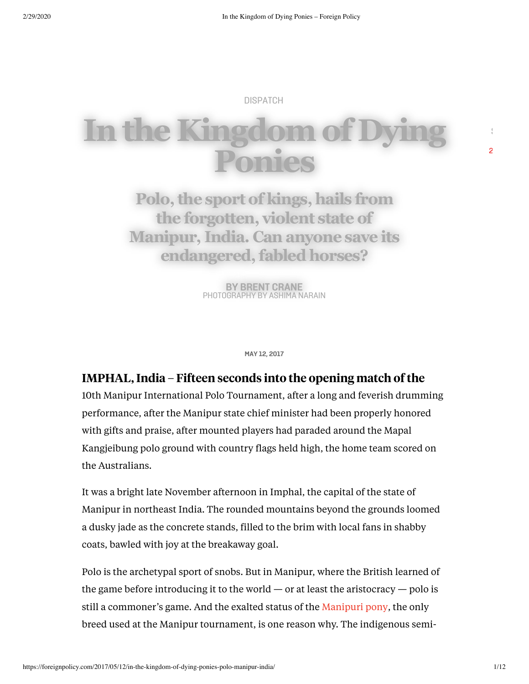[DISPATCH](https://foreignpolicy.com/category/news/dispatch/)

# **In the Kingdom Ponies**

**Polo,the sport of kings, hails from the forgotten, violent state of Manipur, India. Can anyone save its endangered,fabled horses?**

> **BY BRENT [CRANE](https://foreignpolicy.com/author/brent-crane)** PHOTOGRAPHY BY ASHIMA NARAIN

> > **MAY 12, 2017**

#### IMPHAL, India – Fifteen seconds into the opening match of the

10th Manipur International Polo Tournament, after a long and feverish drumming performance, after the Manipur state chief minister had been properly honored with gifts and praise, after mounted players had paraded around the Mapal Kangjeibung polo ground with country flags held high, the home team scored on the Australians.

It was a bright late November afternoon in Imphal, the capital of the state of Manipur in northeast India. The rounded mountains beyond the grounds loomed a dusky jade as the concrete stands, filled to the brim with local fans in shabby coats, bawled with joy at the breakaway goal.

Polo is the archetypal sport of snobs. But in Manipur, where the British learned of the game before introducing it to the world  $-$  or at least the aristocracy  $-$  polo is still a commoner's game. And the exalted status of the [Manipuri](http://www.imh.org/exhibits/online/manipuri-pony) pony, the only breed used at the Manipur tournament, is one reason why. The indigenous semi**S**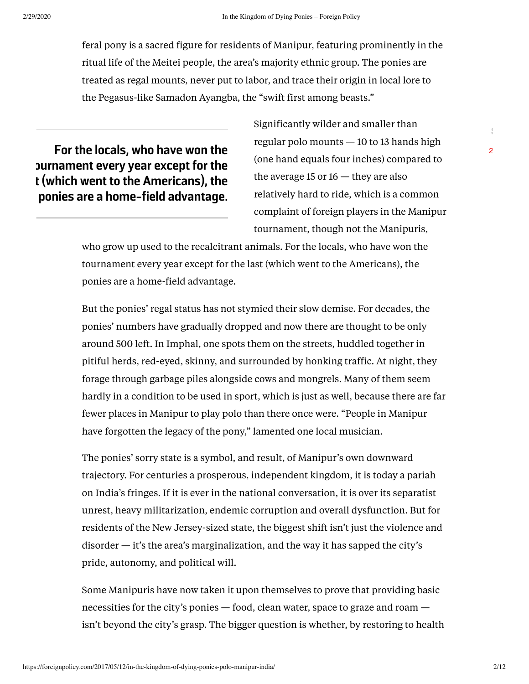feral pony is a sacred figure for residents of Manipur, featuring prominently in the ritual life of the Meitei people, the area's majority ethnic group. The ponies are treated as regal mounts, never put to labor, and trace their origin in local lore to the Pegasus-like Samadon Ayangba, the "swift first among beasts."

**For the locals, who have won the ournament every year except for the t (which went to the Americans), the ponies are a home-field advantage.**

Significantly wilder and smaller than regular polo mounts — 10 to 13 hands high (one hand equals four inches) compared to the average 15 or  $16$  — they are also relatively hard to ride, which is a common complaint of foreign players in the Manipur tournament, though not the Manipuris,

who grow up used to the recalcitrant animals. For the locals, who have won the tournament every year except for the last (which went to the Americans), the ponies are a home-field advantage.

But the ponies' regal status has not stymied their slow demise. For decades, the ponies' numbers have gradually dropped and now there are thought to be only around 500 left. In Imphal, one spots them on the streets, huddled together in pitiful herds, red-eyed, skinny, and surrounded by honking traffic. At night, they forage through garbage piles alongside cows and mongrels. Many of them seem hardly in a condition to be used in sport, which is just as well, because there are far fewer places in Manipur to play polo than there once were. "People in Manipur have forgotten the legacy of the pony," lamented one local musician.

The ponies' sorry state is a symbol, and result, of Manipur's own downward trajectory. For centuries a prosperous, independent kingdom, it is today a pariah on India's fringes. If it is ever in the national conversation, it is over its separatist unrest, heavy militarization, endemic corruption and overall dysfunction. But for residents of the New Jersey-sized state, the biggest shift isn't just the violence and disorder — it's the area's marginalization, and the way it has sapped the city's pride, autonomy, and political will.

Some Manipuris have now taken it upon themselves to prove that providing basic necessities for the city's ponies — food, clean water, space to graze and roam isn't beyond the city's grasp. The bigger question is whether, by restoring to health **S**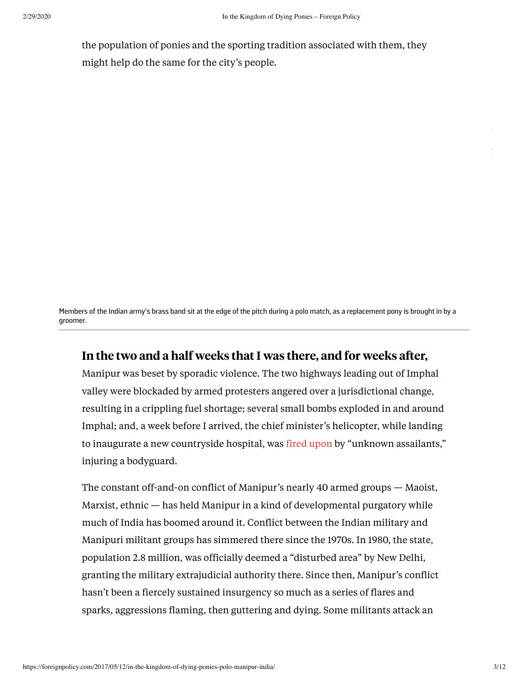the population of ponies and the sporting tradition associated with them, they might help do the same for the city's people.

Members of the Indian army's brass band sit at the edge of the pitch during a polo match, as a replacement pony is brought in by a groomer.

# In the two and a half weeks that I was there, and for weeks after,

Manipur was beset by sporadic violence. The two highways leading out of Imphal valley were blockaded by armed protesters angered over a jurisdictional change, resulting in a crippling fuel shortage; several small bombs exploded in and around Imphal; and, a week before I arrived, the chief minister's helicopter, while landing to inaugurate a new countryside hospital, was fired [upon](http://indianexpress.com/article/india/india-news-india/manipur-cm-okram-ibobi-singh-escapes-unhurt-as-militants-open-fire-3100101/) by "unknown assailants," injuring a bodyguard.

The constant off-and-on conflict of Manipur's nearly 40 armed groups — Maoist, Marxist, ethnic — has held Manipur in a kind of developmental purgatory while much of India has boomed around it. Conflict between the Indian military and Manipuri militant groups has simmered there since the 1970s. In 1980, the state, population 2.8 million, was officially deemed a "disturbed area" by New Delhi, granting the military extrajudicial authority there. Since then, Manipur's conflict hasn't been a fiercely sustained insurgency so much as a series of flares and sparks, aggressions flaming, then guttering and dying. Some militants attack an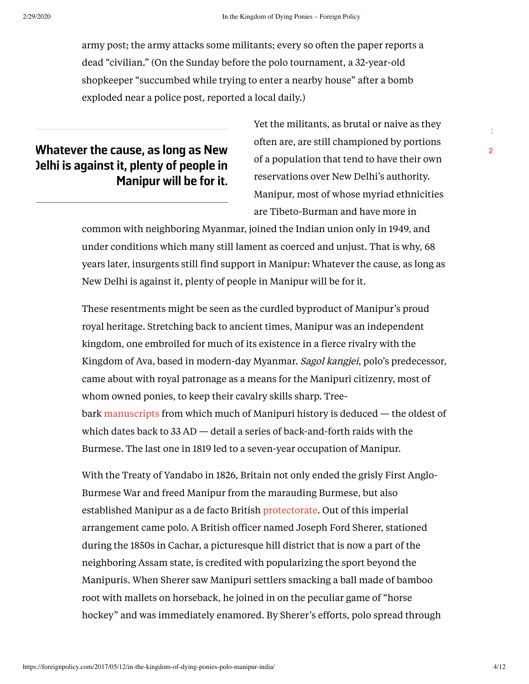army post; the army attacks some militants; every so often the paper reports a dead "civilian." (On the Sunday before the polo tournament, a 32-year-old shopkeeper "succumbed while trying to enter a nearby house" after a bomb exploded near a police post, reported a local daily.)

# **Whatever the cause, as long as New Delhi is against it, plenty of people in Manipur will be for it.**

Yet the militants, as brutal or naive as they often are, are still championed by portions of a population that tend to have their own reservations over New Delhi's authority. Manipur, most of whose myriad ethnicities are Tibeto-Burman and have more in

common with neighboring Myanmar, joined the Indian union only in 1949, and under conditions which many still lament as coerced and unjust. That is why, 68 years later, insurgents still find support in Manipur: Whatever the cause, as long as New Delhi is against it, plenty of people in Manipur will be for it.

These resentments might be seen as the curdled byproduct of Manipur's proud royal heritage. Stretching back to ancient times, Manipur was an independent kingdom, one embroiled for much of its existence in a fierce rivalry with the Kingdom of Ava, based in modern-day Myanmar. Sagol kangjei, polo's predecessor, came about with royal patronage as a means for the Manipuri citizenry, most of whom owned ponies, to keep their cavalry skills sharp. Treebark [manuscripts](http://www.amazon.in/Court-Chronicle-Kings-Manipur-Translation/dp/0415344301) from which much of Manipuri history is deduced — the oldest of which dates back to  $33$  AD  $-$  detail a series of back-and-forth raids with the Burmese. The last one in 1819 led to a seven-year occupation of Manipur.

With the Treaty of Yandabo in 1826, Britain not only ended the grisly First Anglo-Burmese War and freed Manipur from the marauding Burmese, but also established Manipur as a de facto British [protectorate.](https://books.google.com.np/books?id=OzjbCgAAQBAJ&printsec=frontcover&source=gbs_ge_summary_r&cad=0#v=onepage&q=1826&f=false) Out of this imperial arrangement came polo. A British officer named Joseph Ford Sherer, stationed during the 1850s in Cachar, a picturesque hill district that is now a part of the neighboring Assam state, is credited with popularizing the sport beyond the Manipuris. When Sherer saw Manipuri settlers smacking a ball made of bamboo root with mallets on horseback, he joined in on the peculiar game of "horse hockey" and was immediately enamored. By Sherer's efforts, polo spread through **S**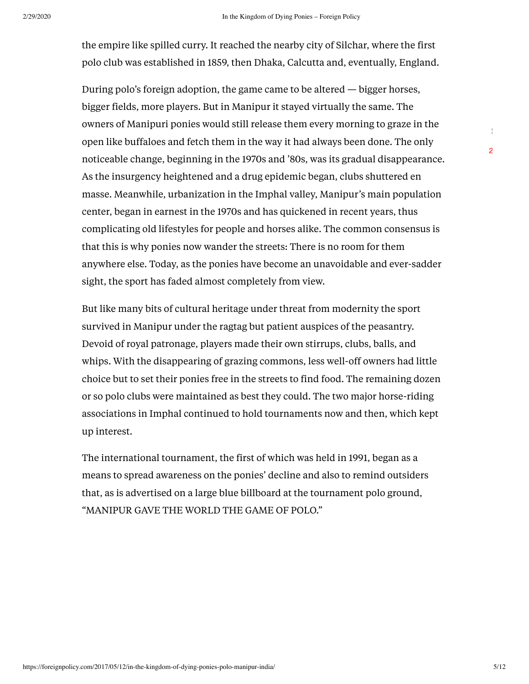the empire like spilled curry. It reached the nearby city of Silchar, where the first polo club was established in 1859, then Dhaka, Calcutta and, eventually, England.

During polo's foreign adoption, the game came to be altered — bigger horses, bigger fields, more players. But in Manipur it stayed virtually the same. The owners of Manipuri ponies would still release them every morning to graze in the open like buffaloes and fetch them in the way it had always been done. The only noticeable change, beginning in the 1970s and '80s, was its gradual disappearance. As the insurgency heightened and a drug epidemic began, clubs shuttered en masse. Meanwhile, urbanization in the Imphal valley, Manipur's main population center, began in earnest in the 1970s and has quickened in recent years, thus complicating old lifestyles for people and horses alike. The common consensus is that this is why ponies now wander the streets: There is no room for them anywhere else. Today, as the ponies have become an unavoidable and ever-sadder sight, the sport has faded almost completely from view.

But like many bits of cultural heritage under threat from modernity the sport survived in Manipur under the ragtag but patient auspices of the peasantry. Devoid of royal patronage, players made their own stirrups, clubs, balls, and whips. With the disappearing of grazing commons, less well-off owners had little choice but to set their ponies free in the streets to find food. The remaining dozen or so polo clubs were maintained as best they could. The two major horse-riding associations in Imphal continued to hold tournaments now and then, which kept up interest.

The international tournament, the first of which was held in 1991, began as a means to spread awareness on the ponies' decline and also to remind outsiders that, as is advertised on a large blue billboard at the tournament polo ground, "MANIPUR GAVE THE WORLD THE GAME OF POLO."

**S**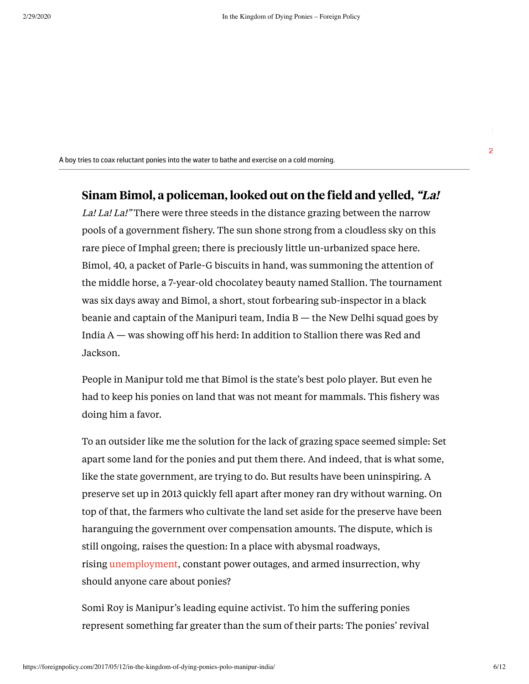A boy tries to coax reluctant ponies into the water to bathe and exercise on a cold morning.

# Sinam Bimol, a policeman, looked out on the field and yelled, "La!

La! La! La!" There were three steeds in the distance grazing between the narrow pools of a government fishery. The sun shone strong from a cloudless sky on this rare piece of Imphal green; there is preciously little un-urbanized space here. Bimol, 40, a packet of Parle-G biscuits in hand, was summoning the attention of the middle horse, a 7-year-old chocolatey beauty named Stallion. The tournament was six days away and Bimol, a short, stout forbearing sub-inspector in a black beanie and captain of the Manipuri team, India  $B$  — the New Delhi squad goes by India A — was showing off his herd: In addition to Stallion there was Red and Jackson.

People in Manipur told me that Bimol is the state's best polo player. But even he had to keep his ponies on land that was not meant for mammals. This fishery was doing him a favor.

To an outsider like me the solution for the lack of grazing space seemed simple: Set apart some land for the ponies and put them there. And indeed, that is what some, like the state government, are trying to do. But results have been uninspiring. A preserve set up in 2013 quickly fell apart after money ran dry without warning. On top of that, the farmers who cultivate the land set aside for the preserve have been haranguing the government over compensation amounts. The dispute, which is still ongoing, raises the question: In a place with abysmal roadways, rising [unemployment,](http://timesofindia.indiatimes.com/city/imphal/Rising-unemployment-corruption-driving-youth-out-of-Manipur/articleshow/51471439.cms) constant power outages, and armed insurrection, why should anyone care about ponies?

Somi Roy is Manipur's leading equine activist. To him the suffering ponies represent something far greater than the sum of their parts: The ponies' revival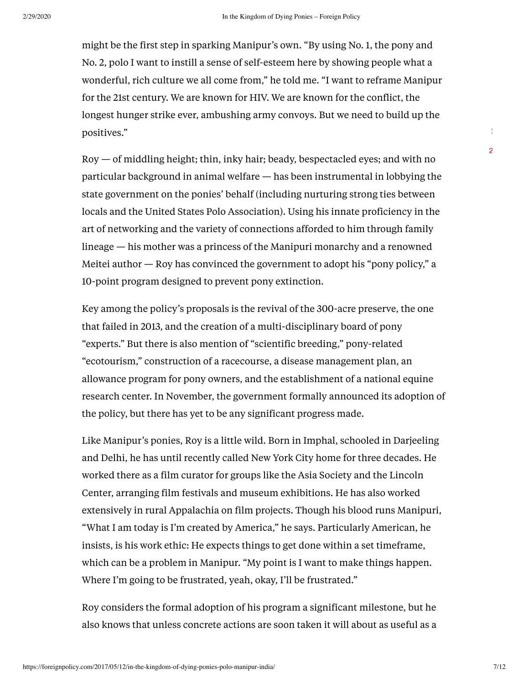might be the first step in sparking Manipur's own. "By using No. 1, the pony and No. 2, polo I want to instill a sense of self-esteem here by showing people what a wonderful, rich culture we all come from," he told me. "I want to reframe Manipur for the 21st century. We are known for HIV. We are known for the conflict, the longest hunger strike ever, ambushing army convoys. But we need to build up the positives."

 $Roy - of$  middling height; thin, inky hair; beady, bespectacled eyes; and with no particular background in animal welfare — has been instrumental in lobbying the state government on the ponies' behalf (including nurturing strong ties between locals and the United States Polo Association). Using his innate proficiency in the art of networking and the variety of connections afforded to him through family lineage — his mother was a princess of the Manipuri monarchy and a renowned Meitei author — Roy has convinced the government to adopt his "pony policy," a 10-point program designed to prevent pony extinction.

Key among the policy's proposals is the revival of the 300-acre preserve, the one that failed in 2013, and the creation of a multi-disciplinary board of pony "experts." But there is also mention of "scientific breeding," pony-related "ecotourism," construction of a racecourse, a disease management plan, an allowance program for pony owners, and the establishment of a national equine research center. In November, the government formally announced its adoption of the policy, but there has yet to be any significant progress made.

Like Manipur's ponies, Roy is a little wild. Born in Imphal, schooled in Darjeeling and Delhi, he has until recently called New York City home for three decades. He worked there as a film curator for groups like the Asia Society and the Lincoln Center, arranging film festivals and museum exhibitions. He has also worked extensively in rural Appalachia on film projects. Though his blood runs Manipuri, "What I am today is I'm created by America," he says. Particularly American, he insists, is his work ethic: He expects things to get done within a set timeframe, which can be a problem in Manipur. "My point is I want to make things happen. Where I'm going to be frustrated, yeah, okay, I'll be frustrated."

Roy considers the formal adoption of his program a significant milestone, but he also knows that unless concrete actions are soon taken it will about as useful as a  $\frac{1}{3}$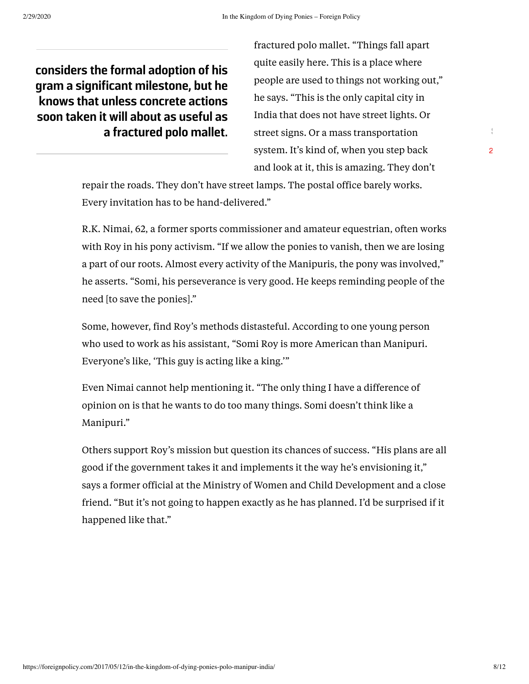**considers the formal adoption of his gram a significant milestone, but he knows that unless concrete actions soon taken it will about as useful as a fractured polo mallet.**

fractured polo mallet. "Things fall apart quite easily here. This is a place where people are used to things not working out," he says. "This is the only capital city in India that does not have street lights. Or street signs. Or a mass transportation system. It's kind of, when you step back and look at it, this is amazing. They don't

repair the roads. They don't have street lamps. The postal office barely works. Every invitation has to be hand-delivered."

R.K. Nimai, 62, a former sports commissioner and amateur equestrian, often works with Roy in his pony activism. "If we allow the ponies to vanish, then we are losing a part of our roots. Almost every activity of the Manipuris, the pony was involved," he asserts. "Somi, his perseverance is very good. He keeps reminding people of the need [to save the ponies]."

Some, however, find Roy's methods distasteful. According to one young person who used to work as his assistant, "Somi Roy is more American than Manipuri. Everyone's like, 'This guy is acting like a king.'"

Even Nimai cannot help mentioning it. "The only thing I have a difference of opinion on is that he wants to do too many things. Somi doesn't think like a Manipuri."

Others support Roy's mission but question its chances of success. "His plans are all good if the government takes it and implements it the way he's envisioning it," says a former official at the Ministry of Women and Child Development and a close friend. "But it's not going to happen exactly as he has planned. I'd be surprised if it happened like that."

**S**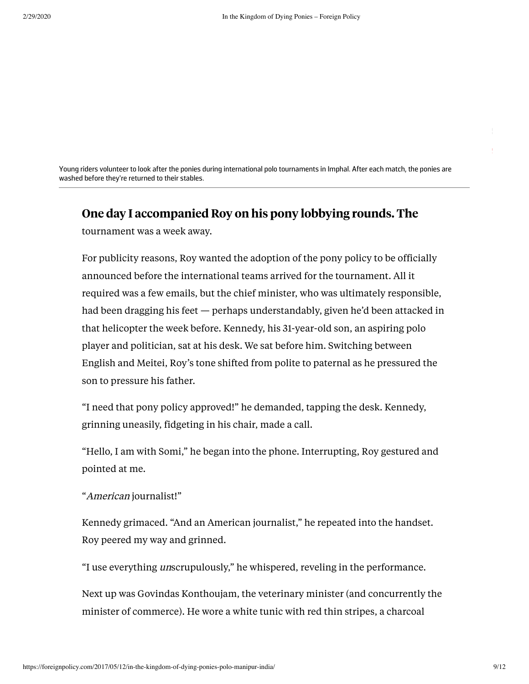Young riders volunteer to look after the ponies during international polo tournaments in Imphal. After each match, the ponies are washed before they're returned to their stables.

# One day I accompanied Roy on his pony lobbying rounds. The

tournament was a week away.

For publicity reasons, Roy wanted the adoption of the pony policy to be officially announced before the international teams arrived for the tournament. All it required was a few emails, but the chief minister, who was ultimately responsible, had been dragging his feet — perhaps understandably, given he'd been attacked in that helicopter the week before. Kennedy, his 31-year-old son, an aspiring polo player and politician, sat at his desk. We sat before him. Switching between English and Meitei, Roy's tone shifted from polite to paternal as he pressured the son to pressure his father.

"I need that pony policy approved!" he demanded, tapping the desk. Kennedy, grinning uneasily, fidgeting in his chair, made a call.

"Hello, I am with Somi," he began into the phone. Interrupting, Roy gestured and pointed at me.

#### "American journalist!"

Kennedy grimaced. "And an American journalist," he repeated into the handset. Roy peered my way and grinned.

"I use everything unscrupulously," he whispered, reveling in the performance.

Next up was Govindas Konthoujam, the veterinary minister (and concurrently the minister of commerce). He wore a white tunic with red thin stripes, a charcoal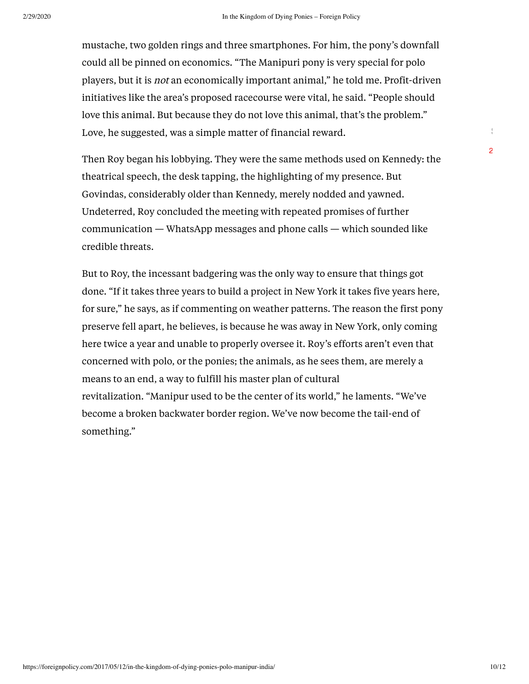mustache, two golden rings and three smartphones. For him, the pony's downfall could all be pinned on economics. "The Manipuri pony is very special for polo players, but it is not an economically important animal," he told me. Profit-driven initiatives like the area's proposed racecourse were vital, he said. "People should love this animal. But because they do not love this animal, that's the problem." Love, he suggested, was a simple matter of financial reward.

Then Roy began his lobbying. They were the same methods used on Kennedy: the theatrical speech, the desk tapping, the highlighting of my presence. But Govindas, considerably older than Kennedy, merely nodded and yawned. Undeterred, Roy concluded the meeting with repeated promises of further communication — WhatsApp messages and phone calls — which sounded like credible threats.

But to Roy, the incessant badgering was the only way to ensure that things got done. "If it takes three years to build a project in New York it takes five years here, for sure," he says, as if commenting on weather patterns. The reason the first pony preserve fell apart, he believes, is because he was away in New York, only coming here twice a year and unable to properly oversee it. Roy's efforts aren't even that concerned with polo, or the ponies; the animals, as he sees them, are merely a means to an end, a way to fulfill his master plan of cultural revitalization. "Manipur used to be the center of its world," he laments. "We've become a broken backwater border region. We've now become the tail-end of something."

 $\frac{1}{3}$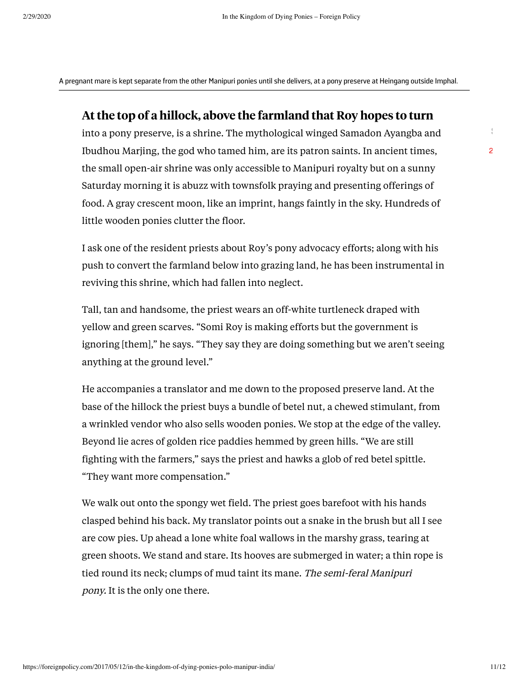A pregnant mare is kept separate from the other Manipuri ponies until she delivers, at a pony preserve at Heingang outside Imphal.

#### At the top of a hillock, above the farmland that Roy hopes to turn

into a pony preserve, is a shrine. The mythological winged Samadon Ayangba and Ibudhou Marjing, the god who tamed him, are its patron saints. In ancient times, the small open-air shrine was only accessible to Manipuri royalty but on a sunny Saturday morning it is abuzz with townsfolk praying and presenting offerings of food. A gray crescent moon, like an imprint, hangs faintly in the sky. Hundreds of little wooden ponies clutter the floor.

I ask one of the resident priests about Roy's pony advocacy efforts; along with his push to convert the farmland below into grazing land, he has been instrumental in reviving this shrine, which had fallen into neglect.

Tall, tan and handsome, the priest wears an off-white turtleneck draped with yellow and green scarves. "Somi Roy is making efforts but the government is ignoring [them]," he says. "They say they are doing something but we aren't seeing anything at the ground level."

He accompanies a translator and me down to the proposed preserve land. At the base of the hillock the priest buys a bundle of betel nut, a chewed stimulant, from a wrinkled vendor who also sells wooden ponies. We stop at the edge of the valley. Beyond lie acres of golden rice paddies hemmed by green hills. "We are still fighting with the farmers," says the priest and hawks a glob of red betel spittle. "They want more compensation."

We walk out onto the spongy wet field. The priest goes barefoot with his hands clasped behind his back. My translator points out a snake in the brush but all I see are cow pies. Up ahead a lone white foal wallows in the marshy grass, tearing at green shoots. We stand and stare. Its hooves are submerged in water; a thin rope is tied round its neck; clumps of mud taint its mane. The semi-feral Manipuri pony. It is the only one there.

 $\frac{1}{3}$